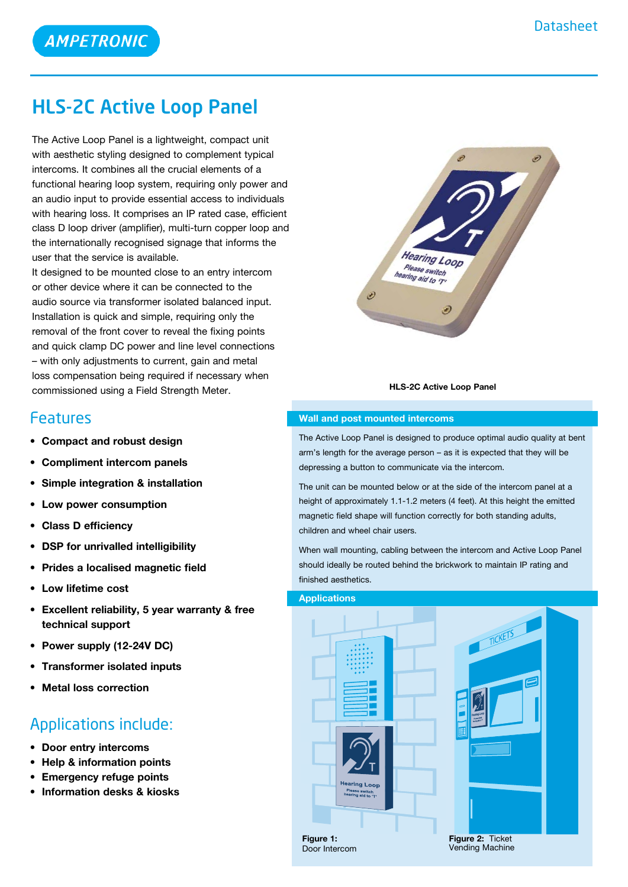

## HLS-2C Active Loop Panel

The Active Loop Panel is a lightweight, compact unit with aesthetic styling designed to complement typical intercoms. It combines all the crucial elements of a functional hearing loop system, requiring only power and an audio input to provide essential access to individuals with hearing loss. It comprises an IP rated case, efficient class D loop driver (amplifier), multi-turn copper loop and the internationally recognised signage that informs the user that the service is available.

It designed to be mounted close to an entry intercom or other device where it can be connected to the audio source via transformer isolated balanced input. Installation is quick and simple, requiring only the removal of the front cover to reveal the fixing points and quick clamp DC power and line level connections – with only adjustments to current, gain and metal loss compensation being required if necessary when commissioned using a Field Strength Meter.

### Features

- **• Compact and robust design**
- **• Compliment intercom panels**
- **• Simple integration & installation**
- **• Low power consumption**
- **• Class D efficiency**
- **• DSP for unrivalled intelligibility**
- **• Prides a localised magnetic field**
- **• Low lifetime cost**
- **• Excellent reliability, 5 year warranty & free technical support**
- **• Power supply (12-24V DC)**
- **• Transformer isolated inputs**
- **Metal loss correction**

### Applications include:

- **• Door entry intercoms**
- **• Help & information points**
- **• Emergency refuge points**
- **• Information desks & kiosks**



#### **HLS-2C Active Loop Panel**

#### **Wall and post mounted intercoms**

The Active Loop Panel is designed to produce optimal audio quality at bent arm's length for the average person – as it is expected that they will be depressing a button to communicate via the intercom.

The unit can be mounted below or at the side of the intercom panel at a height of approximately 1.1-1.2 meters (4 feet). At this height the emitted magnetic field shape will function correctly for both standing adults, children and wheel chair users.

When wall mounting, cabling between the intercom and Active Loop Panel should ideally be routed behind the brickwork to maintain IP rating and finished aesthetics.



aring Loor



**Figure 1:** Door Intercom **Figure 2:** Ticket Vending Machine